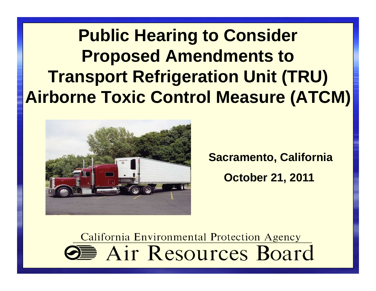**Public Hearing to ConsiderProposed Amendments to Transport Refrigeration Unit (TRU)Airborne Toxic Control Measure (ATCM)**



**Sacramento, CaliforniaOctober 21, 2011**

California Environmental Protection Agency **SE** Air Resources Board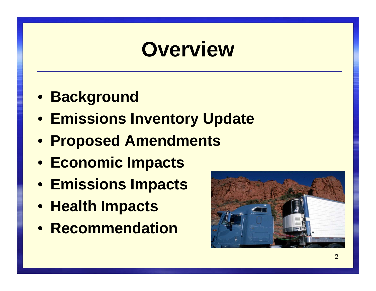# **Overview**

- **Background**
- **Emissions Inventory Update**
- **Proposed Amendments**
- **Economic Impacts**
- **Emissions Impacts**
- **Health Impacts**
- **Recommendation**

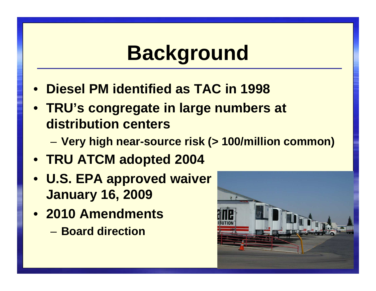# **Background**

- $\bullet$ **Diesel PM identified as TAC in 1998**
- **TRU's congregate in large numbers at distribution centers**
	- –**Very high near-source risk (> 100/million common)**
- **TRU ATCM adopted 2004**
- **U.S. EPA approved waiver January 16, 2009**
- **2010 Amendments**
	- – $-$  Board direction

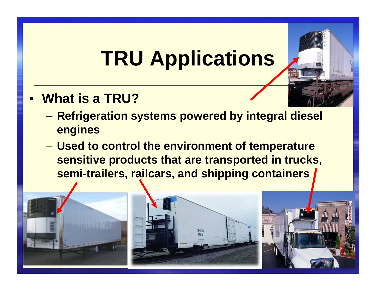# **TRU Applications**

- $\bullet$  **What is a TRU?**
	- – **Refrigeration systems powered by integral diesel engines**
	- – **Used to control the environment of temperature sensitive products that are transported in trucks, semi-trailers, railcars, and shipping containers**

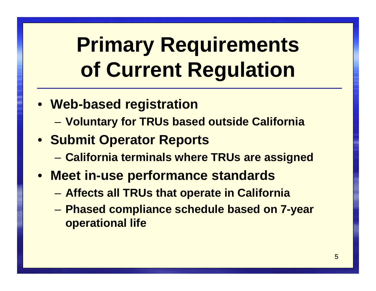# **Primary Requirementsof Current Regulation**

- **Web-based registration**
	- –**Voluntary for TRUs based outside California**
- **Submit Operator Reports**
	- –**California terminals where TRUs are assigned**
- **Meet in-use performance standards**
	- –**Affects all TRUs that operate in California**
	- – **Phased compliance schedule based on 7-year operational life**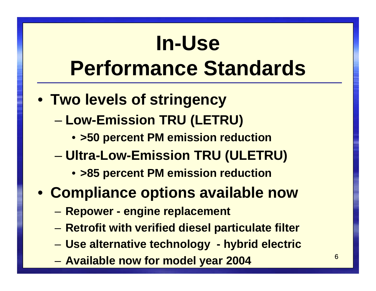# **In-UsePerformance Standards**

- **Two levels of stringency**
	- **Low-Emission TRU (LETRU)**
		- **>50 percent PM emission reduction**
	- – **Ultra-Low-Emission TRU (ULETRU)**
		- **>85 percent PM emission reduction**
- **Compliance options available now**
	- –**Repower - engine replacement**
	- –**Retrofit with verified diesel particulate filter**
	- –**Use alternative technology - hybrid electric**
	- –**Available now for model year 2004**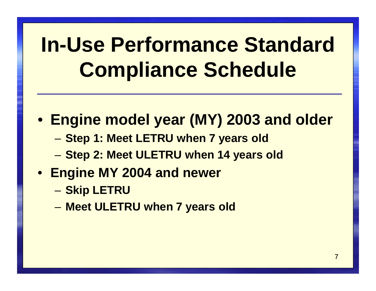# **In-Use Performance Standard Compliance Schedule**

- **Engine model year (MY) 2003 and older**
	- –**Step 1: Meet LETRU when 7 years old**
	- –**Step 2: Meet ULETRU when 14 years old**
- **Engine MY 2004 and newer**
	- –<mark>— Skip LETRU</mark>
	- –**Meet ULETRU when 7 years old**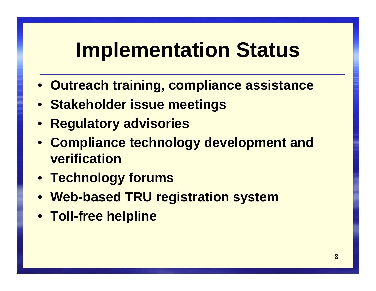# **Implementation Status**

- **Outreach training, compliance assistance**
- **Stakeholder issue meetings**
- $\bullet$ **Regulatory advisories**
- $\bullet$  **Compliance technology development and verification**
- **Technology forums**
- **Web-based TRU registration system**
- **Toll-free helpline**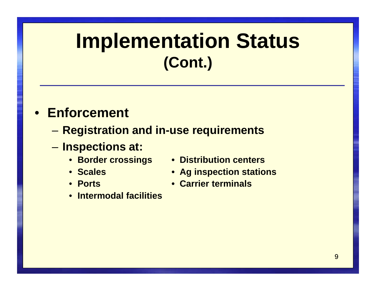## **Implementation Status(Cont.)**

### • **Enforcement**

- –**Registration and in-use requirements**
- – **Inspections at:**
	- **Border crossings Distribution centers**
	- Scales
	- Ports
- 
- **Scales Ag inspection stations**
- **Carrier terminals**
- •**Intermodal facilities**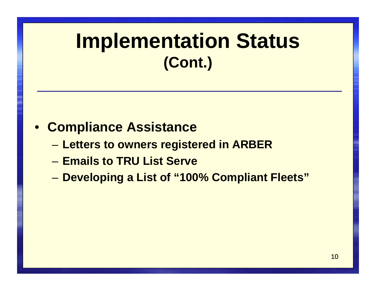## **Implementation Status(Cont.)**

### • **Compliance Assistance**

- –**Letters to owners registered in ARBER**
- –**Emails to TRU List Serve**
- –**Developing a List of "100% Compliant Fleets"**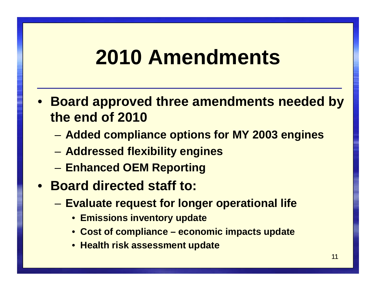# **2010 Amendments**

- **Board approved three amendments needed by the end of 2010**
	- –**Added compliance options for MY 2003 engines**
	- –**Addressed flexibility engines**
	- –**Enhanced OEM Reporting**
- **Board directed staff to:**
	- – **Evaluate request for longer operational life**
		- **Emissions inventory update**
		- **Cost of compliance – economic impacts update**
		- **Health risk assessment update**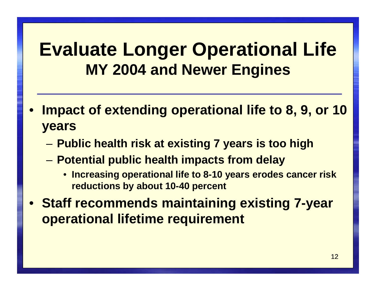### **Evaluate Longer Operational LifeMY 2004 and Newer Engines**

- $\bullet$  **Impact of extending operational life to 8, 9, or 10years**
	- –**Public health risk at existing 7 years is too high**
	- – **Potential public health impacts from delay** 
		- **Increasing operational life to 8-10 years erodes cancer risk reductions by about 10-40 percent**
- $\bullet$  **Staff recommends maintaining existing 7-year operational lifetime requirement**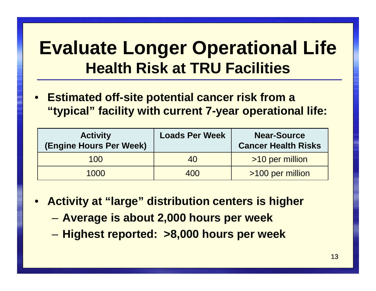# **Evaluate Longer Operational Life Health Risk at TRU Facilities**

• **Estimated off-site potential cancer risk from a "typical" facility with current 7-year operational life:**

| <b>Activity</b><br>(Engine Hours Per Week) | <b>Loads Per Week</b> | <b>Near-Source</b><br><b>Cancer Health Risks</b> |
|--------------------------------------------|-----------------------|--------------------------------------------------|
| 100                                        | 40                    | >10 per million                                  |
| 1000                                       | 400                   | >100 per million                                 |

- **Activity at "large" distribution centers is higher** 
	- –**Average is about 2,000 hours per week**
	- –**Highest reported: >8,000 hours per week**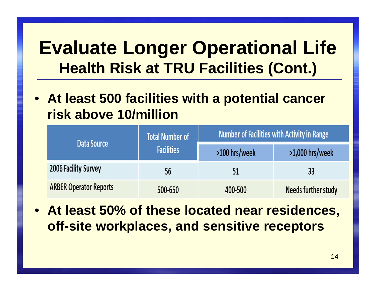# **Evaluate Longer Operational Life Health Risk at TRU Facilities (Cont.)**

• **At least 500 facilities with a potential cancer risk above 10/million**

|                               | <b>Total Number of</b><br><b>Facilities</b> | <b>Number of Facilities with Activity in Range</b> |                     |
|-------------------------------|---------------------------------------------|----------------------------------------------------|---------------------|
| Data Source                   |                                             | >100 hrs/week                                      | $>1,000$ hrs/week   |
| <b>2006 Facility Survey</b>   | 56                                          | 51                                                 | 33                  |
| <b>ARBER Operator Reports</b> | 500-650                                     | 400-500                                            | Needs further study |

• **At least 50% of these located near residences, off-site workplaces, and sensitive receptors**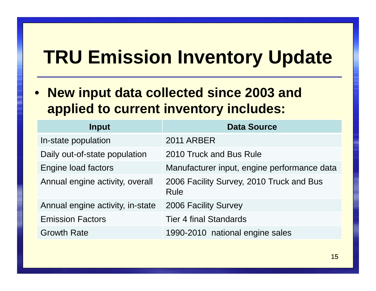## **TRU Emission Inventory Update**

• **New input data collected since 2003 and applied to current inventory includes:**

| Input                            | <b>Data Source</b>                               |
|----------------------------------|--------------------------------------------------|
| In-state population              | <b>2011 ARBER</b>                                |
| Daily out-of-state population    | 2010 Truck and Bus Rule                          |
| Engine load factors              | Manufacturer input, engine performance data      |
| Annual engine activity, overall  | 2006 Facility Survey, 2010 Truck and Bus<br>Rule |
| Annual engine activity, in-state | <b>2006 Facility Survey</b>                      |
| <b>Emission Factors</b>          | <b>Tier 4 final Standards</b>                    |
| <b>Growth Rate</b>               | 1990-2010 national engine sales                  |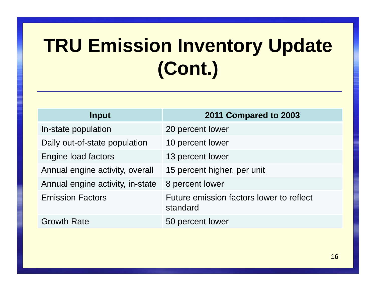# **TRU Emission Inventory Update(Cont.)**

| Input                            | 2011 Compared to 2003                                |
|----------------------------------|------------------------------------------------------|
| In-state population              | 20 percent lower                                     |
| Daily out-of-state population    | 10 percent lower                                     |
| Engine load factors              | 13 percent lower                                     |
| Annual engine activity, overall  | 15 percent higher, per unit                          |
| Annual engine activity, in-state | 8 percent lower                                      |
| <b>Emission Factors</b>          | Future emission factors lower to reflect<br>standard |
| <b>Growth Rate</b>               | 50 percent lower                                     |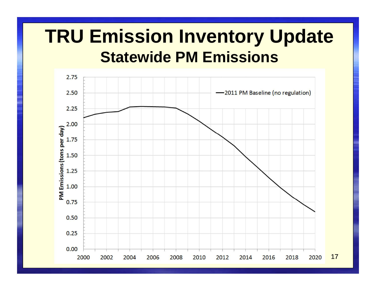### **TRU Emission Inventory UpdateStatewide PM Emissions**

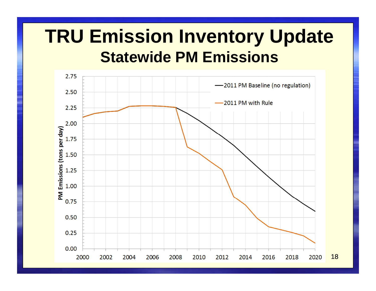### **TRU Emission Inventory UpdateStatewide PM Emissions**

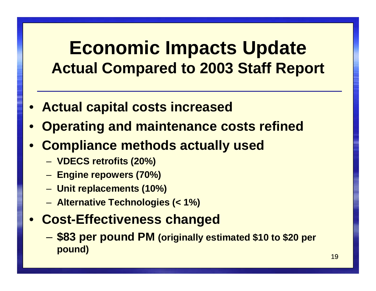### **Economic Impacts UpdateActual Compared to 2003 Staff Report**

- $\bullet$ **Actual capital costs increased**
- $\bullet$ **Operating and maintenance costs refined**
- $\bullet$  **Compliance methods actually used**
	- –**VDECS retrofits (20%)**
	- –**Engine repowers (70%)**
	- –**Unit replacements (10%)**
	- –**Alternative Technologies (< 1%)**

#### $\bullet$ **Cost-Effectiveness changed**

– **\$83 per pound PM (originally estimated \$10 to \$20 per pound)**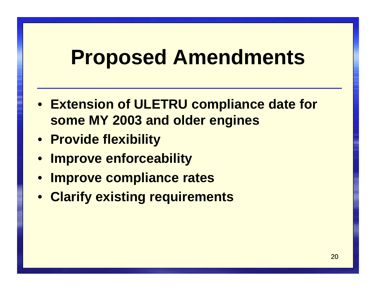## **Proposed Amendments**

- **Extension of ULETRU compliance date for some MY 2003 and older engines**
- **Provide flexibility**
- $\bullet$ **Improve enforceability**
- $\bullet$ **Improve compliance rates**
- **Clarify existing requirements**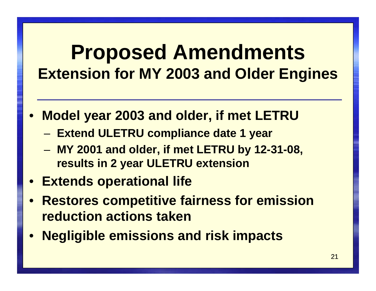### **Proposed AmendmentsExtension for MY 2003 and Older Engines**

- $\bullet$  **Model year 2003 and older, if met LETRU**
	- –**Extend ULETRU compliance date 1 year**
	- – **MY 2001 and older, if met LETRU by 12-31-08, results in 2 year ULETRU extension**
- **Extends operational life**
- $\bullet$  **Restores competitive fairness for emission reduction actions taken**
- $\bullet$ **Negligible emissions and risk impacts**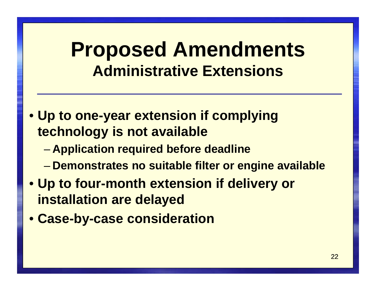### **Proposed AmendmentsAdministrative Extensions**

- **Up to one-year extension if complying technology is not available**
	- –**Application required before deadline**
	- –**Demonstrates no suitable filter or engine available**
- **Up to four-month extension if delivery or installation are delayed**
- $\bullet$ **Case-by-case consideration**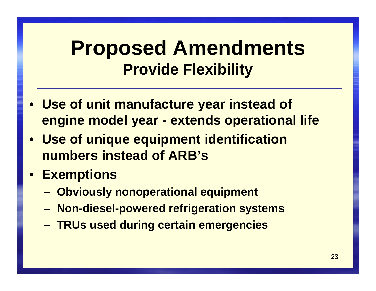### **Proposed AmendmentsProvide Flexibility**

- $\bullet$  **Use of unit manufacture year instead of engine model year - extends operational life**
- $\bullet$  **Use of unique equipment identification numbers instead of ARB's**
- $\bullet$  **Exemptions**
	- –**Obviously nonoperational equipment**
	- –**Non-diesel-powered refrigeration systems**
	- –**TRUs used during certain emergencies**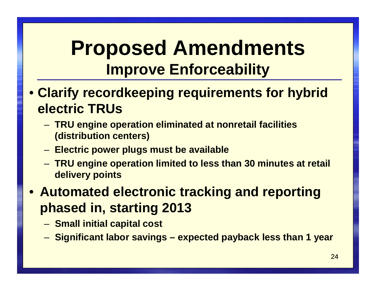### **Proposed AmendmentsImprove Enforceability**

- **Clarify recordkeeping requirements for hybrid electric TRUs**
	- – **TRU engine operation eliminated at nonretail facilities (distribution centers)**
	- –**Electric power plugs must be available**
	- – **TRU engine operation limited to less than 30 minutes at retail delivery points**

• **Automated electronic tracking and reporting phased in, starting 2013**

- –**Small initial capital cost**
- –**Significant labor savings – expected payback less than 1 year**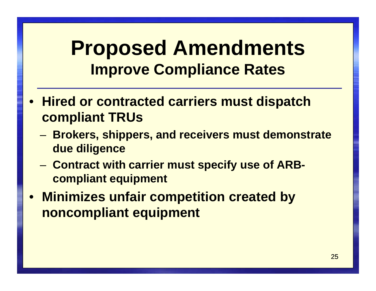### **Proposed AmendmentsImprove Compliance Rates**

- $\bullet$  **Hired or contracted carriers must dispatch compliant TRUs**
	- – **Brokers, shippers, and receivers must demonstrate due diligence**
	- – **Contract with carrier must specify use of ARBcompliant equipment**
- $\bullet$  **Minimizes unfair competition created by noncompliant equipment**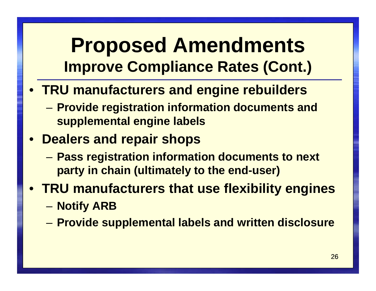### **Proposed AmendmentsImprove Compliance Rates (Cont.)**

- **TRU manufacturers and engine rebuilders** 
	- – **Provide registration information documents and supplemental engine labels**
- $\bullet$  **Dealers and repair shops**
	- – **Pass registration information documents to next party in chain (ultimately to the end-user)**
- $\bullet$  **TRU manufacturers that use flexibility engines**– $-$  Notify ARB
	- –**Provide supplemental labels and written disclosure**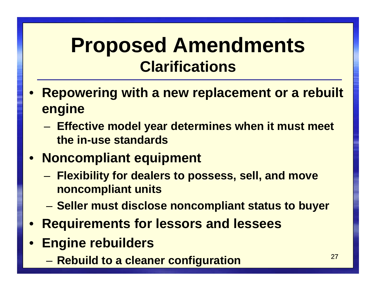### **Proposed AmendmentsClarifications**

- $\bullet$  **Repowering with a new replacement or a rebuilt engine**
	- – **Effective model year determines when it must meet the in-use standards**

#### $\bullet$ **Noncompliant equipment**

- – **Flexibility for dealers to possess, sell, and move noncompliant units**
- – $-$  Seller must disclose noncompliant status to buyer
- $\bullet$ **Requirements for lessors and lessees**
- $\bullet$  **Engine rebuilders** 
	- –**Rebuild to a cleaner configuration**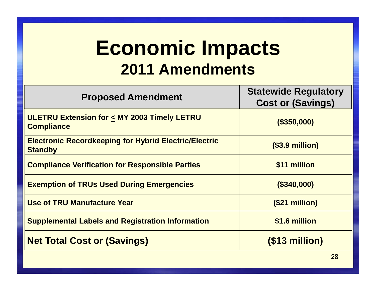### **Economic Impacts2011 Amendments**

| <b>Proposed Amendment</b>                                                      | <b>Statewide Regulatory</b><br><b>Cost or (Savings)</b> |
|--------------------------------------------------------------------------------|---------------------------------------------------------|
| <b>ULETRU Extension for &lt; MY 2003 Timely LETRU</b><br><b>Compliance</b>     | (\$350,000)                                             |
| <b>Electronic Recordkeeping for Hybrid Electric/Electric</b><br><b>Standby</b> | $(S3.9$ million)                                        |
| <b>Compliance Verification for Responsible Parties</b>                         | \$11 million                                            |
| <b>Exemption of TRUs Used During Emergencies</b>                               | (\$340,000)                                             |
| <b>Use of TRU Manufacture Year</b>                                             | (\$21 million)                                          |
| <b>Supplemental Labels and Registration Information</b>                        | \$1.6 million                                           |
| <b>Net Total Cost or (Savings)</b>                                             | $($13$ million)                                         |
|                                                                                | 28                                                      |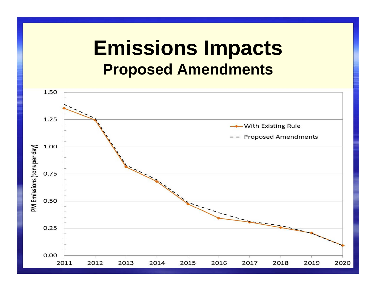### **Emissions ImpactsProposed Amendments**

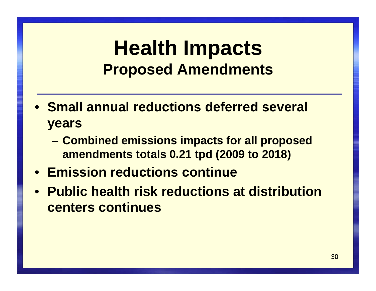### **Health ImpactsProposed Amendments**

- **Small annual reductions deferred several years**
	- – **Combined emissions impacts for all proposed amendments totals 0.21 tpd (2009 to 2018)**
- **Emission reductions continue**
- **Public health risk reductions at distribution centers continues**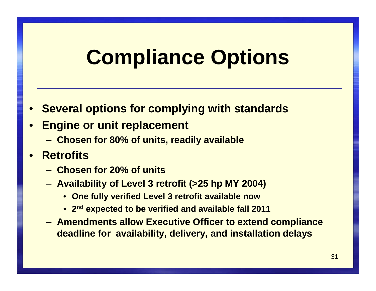# **Compliance Options**

•**Several options for complying with standards**

#### •**Engine or unit replacement**

- –**Chosen for 80% of units, readily available**
- • **Retrofits** 
	- –**Chosen for 20% of units**
	- – **Availability of Level 3 retrofit (>25 hp MY 2004)**
		- **One fully verified Level 3 retrofit available now**
		- •**2nd expected to be verified and available fall 2011**
	- – **Amendments allow Executive Officer to extend compliance deadline for availability, delivery, and installation delays**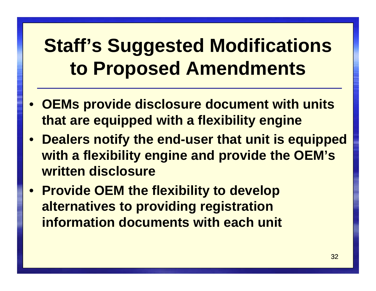## **Staff's Suggested Modifications to Proposed Amendments**

- $\bullet$  **OEMs provide disclosure document with units that are equipped with a flexibility engine**
- $\bullet$  **Dealers notify the end-user that unit is equipped with a flexibility engine and provide the OEM's written disclosure**
- $\bullet$  **Provide OEM the flexibility to develop alternatives to providing registration information documents with each unit**